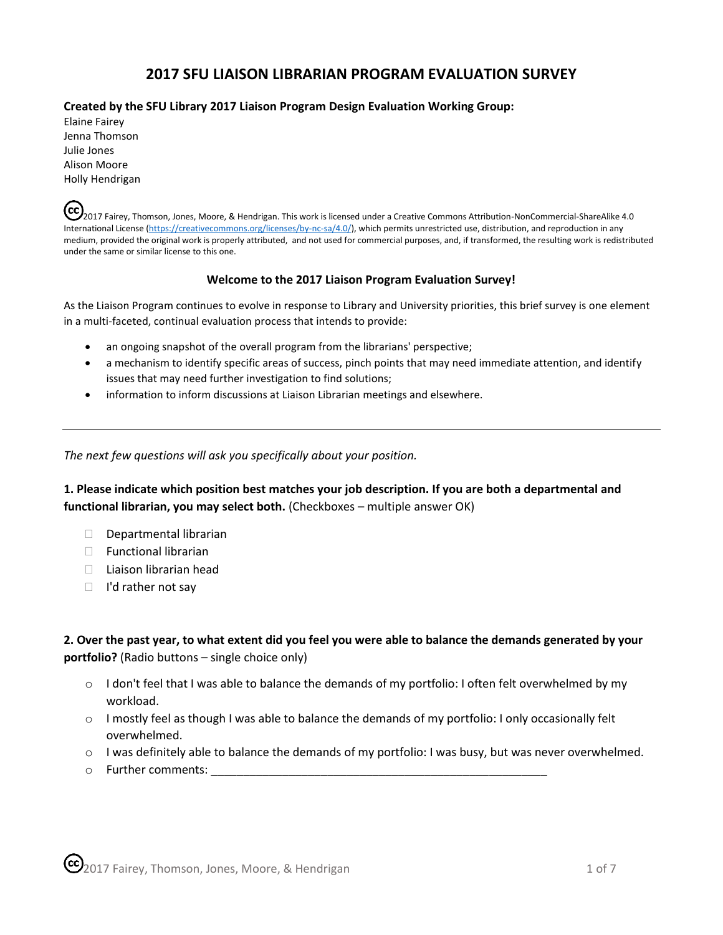# **2017 SFU LIAISON LIBRARIAN PROGRAM EVALUATION SURVEY**

#### **Created by the SFU Library 2017 Liaison Program Design Evaluation Working Group:**

Elaine Fairey Jenna Thomson Julie Jones Alison Moore Holly Hendrigan

(cc) 2017 Fairey, Thomson, Jones, Moore, & Hendrigan. This work is licensed under a Creative Commons Attribution-NonCommercial-ShareAlike 4.0 International License [\(https://creativecommons.org/licenses/by-nc-sa/4.0/\),](https://creativecommons.org/licenses/by-nc-sa/4.0/) which permits unrestricted use, distribution, and reproduction in any medium, provided the original work is properly attributed, and not used for commercial purposes, and, if transformed, the resulting work is redistributed under the same or similar license to this one.

#### **Welcome to the 2017 Liaison Program Evaluation Survey!**

As the Liaison Program continues to evolve in response to Library and University priorities, this brief survey is one element in a multi-faceted, continual evaluation process that intends to provide:

- an ongoing snapshot of the overall program from the librarians' perspective;
- a mechanism to identify specific areas of success, pinch points that may need immediate attention, and identify issues that may need further investigation to find solutions;
- information to inform discussions at Liaison Librarian meetings and elsewhere.

*The next few questions will ask you specifically about your position.*

**1. Please indicate which position best matches your job description. If you are both a departmental and functional librarian, you may select both.** (Checkboxes – multiple answer OK)

- Departmental librarian
- $\Box$  Functional librarian
- $\Box$  Liaison librarian head
- $\Box$  I'd rather not say

**2. Over the past year, to what extent did you feel you were able to balance the demands generated by your portfolio?** (Radio buttons – single choice only)

- $\circ$  I don't feel that I was able to balance the demands of my portfolio: I often felt overwhelmed by my workload.
- o I mostly feel as though I was able to balance the demands of my portfolio: I only occasionally felt overwhelmed.
- $\circ$  I was definitely able to balance the demands of my portfolio: I was busy, but was never overwhelmed.
- o Further comments: \_\_\_\_\_\_\_\_\_\_\_\_\_\_\_\_\_\_\_\_\_\_\_\_\_\_\_\_\_\_\_\_\_\_\_\_\_\_\_\_\_\_\_\_\_\_\_\_\_\_\_\_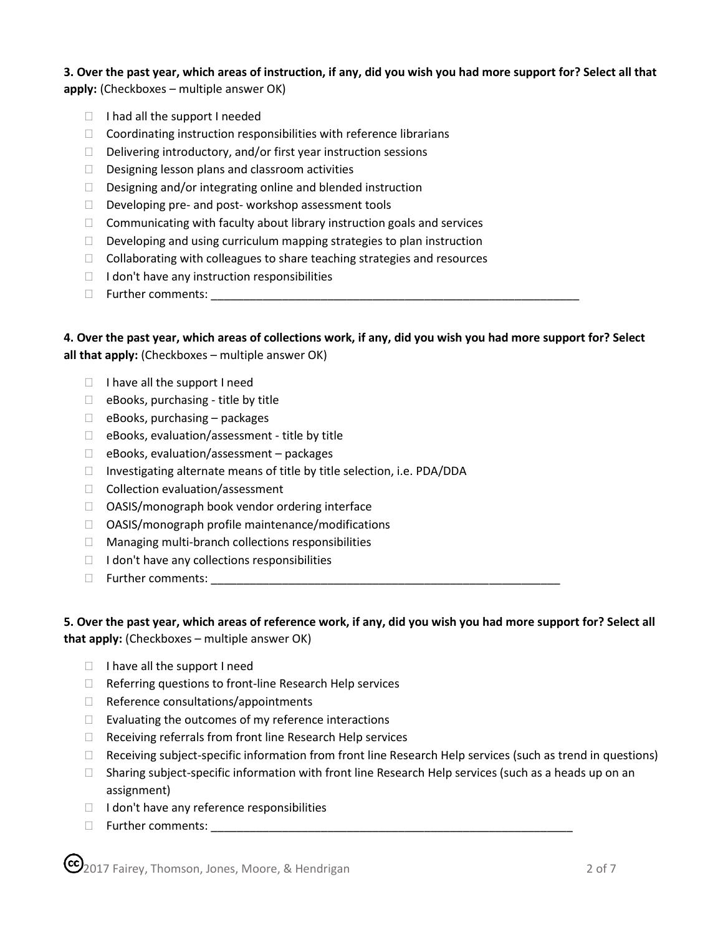## **3. Over the past year, which areas of instruction, if any, did you wish you had more support for? Select all that apply:** (Checkboxes – multiple answer OK)

- $\Box$  I had all the support I needed
- $\Box$  Coordinating instruction responsibilities with reference librarians
- $\Box$  Delivering introductory, and/or first year instruction sessions
- $\Box$  Designing lesson plans and classroom activities
- Designing and/or integrating online and blended instruction
- $\Box$  Developing pre- and post-workshop assessment tools
- $\Box$  Communicating with faculty about library instruction goals and services
- $\Box$  Developing and using curriculum mapping strategies to plan instruction
- $\Box$  Collaborating with colleagues to share teaching strategies and resources
- $\Box$  I don't have any instruction responsibilities
- $\Box$  Further comments:

**4. Over the past year, which areas of collections work, if any, did you wish you had more support for? Select all that apply:** (Checkboxes – multiple answer OK)

- $\Box$  I have all the support I need
- $\Box$  eBooks, purchasing title by title
- $\Box$  eBooks, purchasing packages
- $\Box$  eBooks, evaluation/assessment title by title
- $\Box$  eBooks, evaluation/assessment packages
- $\Box$  Investigating alternate means of title by title selection, i.e. PDA/DDA
- $\Box$  Collection evaluation/assessment
- □ OASIS/monograph book vendor ordering interface
- □ OASIS/monograph profile maintenance/modifications
- $\Box$  Managing multi-branch collections responsibilities
- $\Box$  I don't have any collections responsibilities
- Further comments: \_\_\_\_\_\_\_\_\_\_\_\_\_\_\_\_\_\_\_\_\_\_\_\_\_\_\_\_\_\_\_\_\_\_\_\_\_\_\_\_\_\_\_\_\_\_\_\_\_\_\_\_\_\_

### **5. Over the past year, which areas of reference work, if any, did you wish you had more support for? Select all that apply:** (Checkboxes – multiple answer OK)

- $\Box$  I have all the support I need
- $\Box$  Referring questions to front-line Research Help services
- $\Box$  Reference consultations/appointments
- $\Box$  Evaluating the outcomes of my reference interactions
- $\Box$  Receiving referrals from front line Research Help services
- $\Box$  Receiving subject-specific information from front line Research Help services (such as trend in questions)
- $\Box$  Sharing subject-specific information with front line Research Help services (such as a heads up on an assignment)
- $\Box$  I don't have any reference responsibilities
- Further comments: \_\_\_\_\_\_\_\_\_\_\_\_\_\_\_\_\_\_\_\_\_\_\_\_\_\_\_\_\_\_\_\_\_\_\_\_\_\_\_\_\_\_\_\_\_\_\_\_\_\_\_\_\_\_\_\_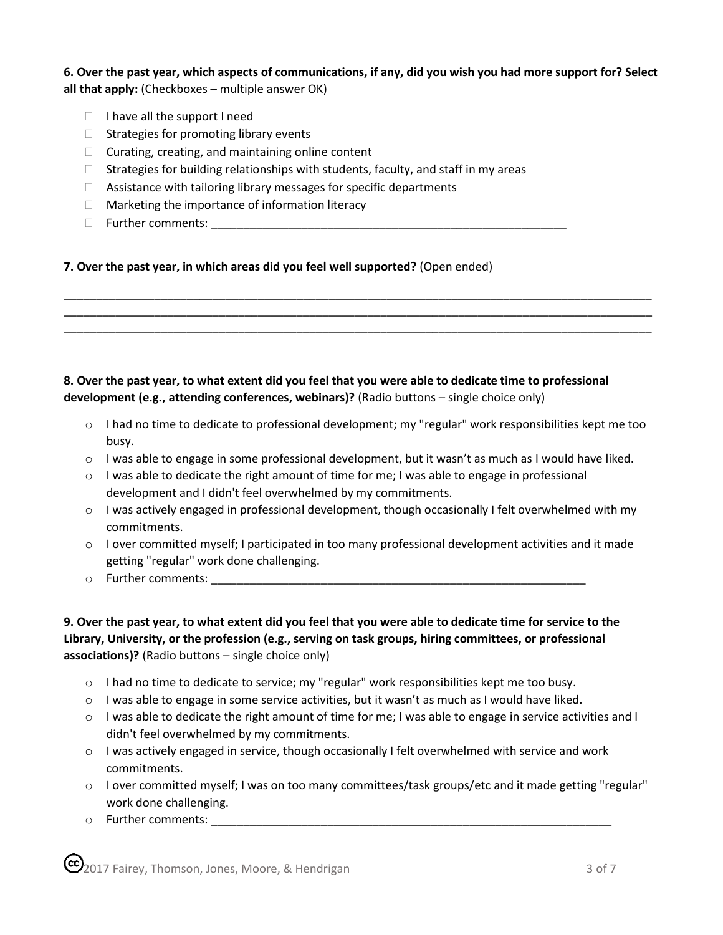**6. Over the past year, which aspects of communications, if any, did you wish you had more support for? Select all that apply:** (Checkboxes – multiple answer OK)

- $\Box$  I have all the support I need
- $\Box$  Strategies for promoting library events
- $\Box$  Curating, creating, and maintaining online content
- $\Box$  Strategies for building relationships with students, faculty, and staff in my areas
- $\Box$  Assistance with tailoring library messages for specific departments
- $\Box$  Marketing the importance of information literacy
- Further comments: \_\_\_\_\_\_\_\_\_\_\_\_\_\_\_\_\_\_\_\_\_\_\_\_\_\_\_\_\_\_\_\_\_\_\_\_\_\_\_\_\_\_\_\_\_\_\_\_\_\_\_\_\_\_\_

### **7. Over the past year, in which areas did you feel well supported?** (Open ended)

### **8. Over the past year, to what extent did you feel that you were able to dedicate time to professional development (e.g., attending conferences, webinars)?** (Radio buttons – single choice only)

- o I had no time to dedicate to professional development; my "regular" work responsibilities kept me too busy.
- o I was able to engage in some professional development, but it wasn't as much as I would have liked.

\_\_\_\_\_\_\_\_\_\_\_\_\_\_\_\_\_\_\_\_\_\_\_\_\_\_\_\_\_\_\_\_\_\_\_\_\_\_\_\_\_\_\_\_\_\_\_\_\_\_\_\_\_\_\_\_\_\_\_\_\_\_\_\_\_\_\_\_\_\_\_\_\_\_\_\_\_\_\_\_\_\_\_\_\_\_\_\_\_\_\_ \_\_\_\_\_\_\_\_\_\_\_\_\_\_\_\_\_\_\_\_\_\_\_\_\_\_\_\_\_\_\_\_\_\_\_\_\_\_\_\_\_\_\_\_\_\_\_\_\_\_\_\_\_\_\_\_\_\_\_\_\_\_\_\_\_\_\_\_\_\_\_\_\_\_\_\_\_\_\_\_\_\_\_\_\_\_\_\_\_\_\_ \_\_\_\_\_\_\_\_\_\_\_\_\_\_\_\_\_\_\_\_\_\_\_\_\_\_\_\_\_\_\_\_\_\_\_\_\_\_\_\_\_\_\_\_\_\_\_\_\_\_\_\_\_\_\_\_\_\_\_\_\_\_\_\_\_\_\_\_\_\_\_\_\_\_\_\_\_\_\_\_\_\_\_\_\_\_\_\_\_\_\_

- $\circ$  I was able to dedicate the right amount of time for me; I was able to engage in professional development and I didn't feel overwhelmed by my commitments.
- $\circ$  I was actively engaged in professional development, though occasionally I felt overwhelmed with my commitments.
- $\circ$  I over committed myself; I participated in too many professional development activities and it made getting "regular" work done challenging.
- $\circ$  Further comments:  $\circ$

**9. Over the past year, to what extent did you feel that you were able to dedicate time for service to the Library, University, or the profession (e.g., serving on task groups, hiring committees, or professional associations)?** (Radio buttons – single choice only)

- $\circ$  I had no time to dedicate to service; my "regular" work responsibilities kept me too busy.
- $\circ$  I was able to engage in some service activities, but it wasn't as much as I would have liked.
- $\circ$  I was able to dedicate the right amount of time for me; I was able to engage in service activities and I didn't feel overwhelmed by my commitments.
- o I was actively engaged in service, though occasionally I felt overwhelmed with service and work commitments.
- o I over committed myself; I was on too many committees/task groups/etc and it made getting "regular" work done challenging.
- $\circ$  Further comments:  $\circ$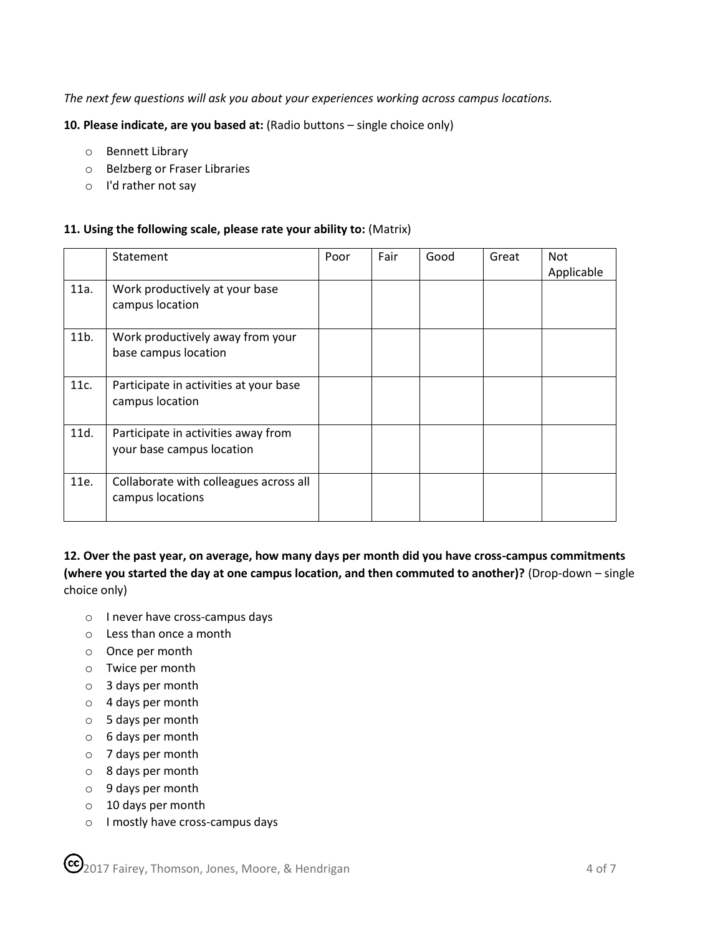*The next few questions will ask you about your experiences working across campus locations.*

**10. Please indicate, are you based at:** (Radio buttons – single choice only)

- o Bennett Library
- o Belzberg or Fraser Libraries
- o I'd rather not say

### **11. Using the following scale, please rate your ability to:** (Matrix)

|         | Statement                                                        | Poor | Fair | Good | Great | <b>Not</b><br>Applicable |
|---------|------------------------------------------------------------------|------|------|------|-------|--------------------------|
| 11a.    | Work productively at your base<br>campus location                |      |      |      |       |                          |
| $11b$ . | Work productively away from your<br>base campus location         |      |      |      |       |                          |
| 11c.    | Participate in activities at your base<br>campus location        |      |      |      |       |                          |
| 11d.    | Participate in activities away from<br>your base campus location |      |      |      |       |                          |
| 11e.    | Collaborate with colleagues across all<br>campus locations       |      |      |      |       |                          |

**12. Over the past year, on average, how many days per month did you have cross-campus commitments (where you started the day at one campus location, and then commuted to another)?** (Drop-down – single choice only)

- o I never have cross-campus days
- o Less than once a month
- o Once per month
- o Twice per month
- o 3 days per month
- o 4 days per month
- o 5 days per month
- o 6 days per month
- o 7 days per month
- o 8 days per month
- o 9 days per month
- o 10 days per month
- o I mostly have cross-campus days

CC 2017 Fairey, Thomson, Jones, Moore, & Hendrigan 4 of 7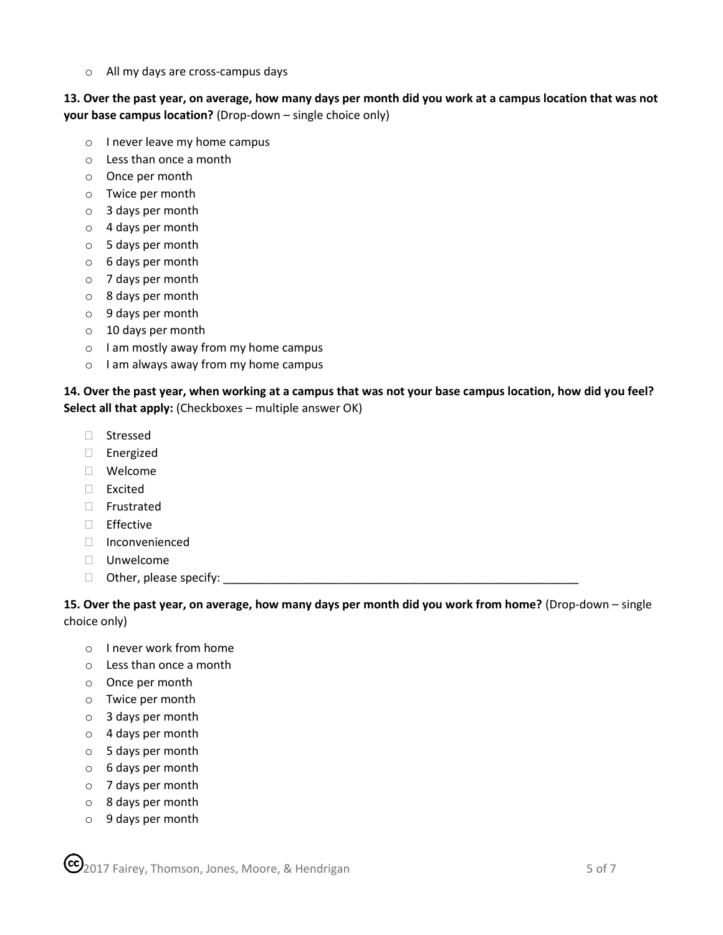o All my days are cross-campus days

**13. Over the past year, on average, how many days per month did you work at a campus location that was not your base campus location?** (Drop-down – single choice only)

- o I never leave my home campus
- o Less than once a month
- o Once per month
- o Twice per month
- o 3 days per month
- o 4 days per month
- o 5 days per month
- o 6 days per month
- o 7 days per month
- o 8 days per month
- o 9 days per month
- o 10 days per month
- o I am mostly away from my home campus
- o I am always away from my home campus

**14. Over the past year, when working at a campus that was not your base campus location, how did you feel? Select all that apply:** (Checkboxes – multiple answer OK)

- Stressed
- Energized
- Welcome
- Excited
- Frustrated
- □ Effective
- Inconvenienced
- Unwelcome
- $\Box$  Other, please specify:  $\Box$

**15. Over the past year, on average, how many days per month did you work from home?** (Drop-down – single choice only)

- o I never work from home
- o Less than once a month
- o Once per month
- o Twice per month
- o 3 days per month
- o 4 days per month
- o 5 days per month
- o 6 days per month
- o 7 days per month
- o 8 days per month
- o 9 days per month

**C** 2017 Fairey, Thomson, Jones, Moore, & Hendrigan 5 of 7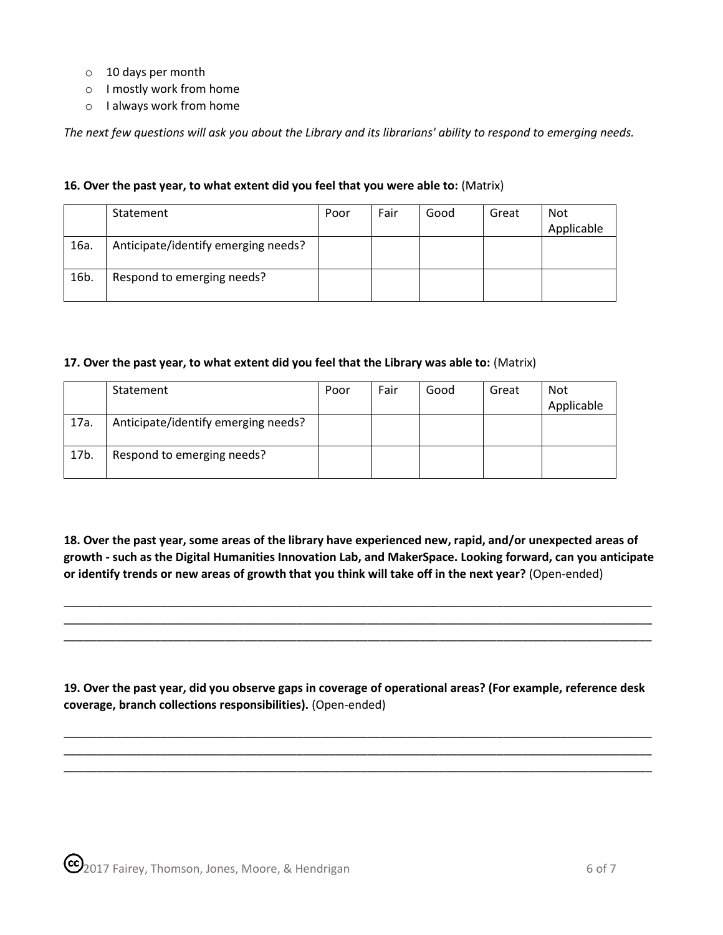- o 10 days per month
- o I mostly work from home
- o I always work from home

*The next few questions will ask you about the Library and its librarians' ability to respond to emerging needs.*

#### **16. Over the past year, to what extent did you feel that you were able to:** (Matrix)

|      | Statement                           | Poor | Fair | Good | Great | <b>Not</b> |
|------|-------------------------------------|------|------|------|-------|------------|
|      |                                     |      |      |      |       | Applicable |
| 16a. | Anticipate/identify emerging needs? |      |      |      |       |            |
| 16b. | Respond to emerging needs?          |      |      |      |       |            |

#### **17. Over the past year, to what extent did you feel that the Library was able to:** (Matrix)

|      | Statement                           | Poor | Fair | Good | Great | <b>Not</b><br>Applicable |
|------|-------------------------------------|------|------|------|-------|--------------------------|
| 17a. | Anticipate/identify emerging needs? |      |      |      |       |                          |
| 17b. | Respond to emerging needs?          |      |      |      |       |                          |

**18. Over the past year, some areas of the library have experienced new, rapid, and/or unexpected areas of growth - such as the Digital Humanities Innovation Lab, and MakerSpace. Looking forward, can you anticipate or identify trends or new areas of growth that you think will take off in the next year?** (Open-ended)

\_\_\_\_\_\_\_\_\_\_\_\_\_\_\_\_\_\_\_\_\_\_\_\_\_\_\_\_\_\_\_\_\_\_\_\_\_\_\_\_\_\_\_\_\_\_\_\_\_\_\_\_\_\_\_\_\_\_\_\_\_\_\_\_\_\_\_\_\_\_\_\_\_\_\_\_\_\_\_\_\_\_\_\_\_\_\_\_\_\_\_ \_\_\_\_\_\_\_\_\_\_\_\_\_\_\_\_\_\_\_\_\_\_\_\_\_\_\_\_\_\_\_\_\_\_\_\_\_\_\_\_\_\_\_\_\_\_\_\_\_\_\_\_\_\_\_\_\_\_\_\_\_\_\_\_\_\_\_\_\_\_\_\_\_\_\_\_\_\_\_\_\_\_\_\_\_\_\_\_\_\_\_ \_\_\_\_\_\_\_\_\_\_\_\_\_\_\_\_\_\_\_\_\_\_\_\_\_\_\_\_\_\_\_\_\_\_\_\_\_\_\_\_\_\_\_\_\_\_\_\_\_\_\_\_\_\_\_\_\_\_\_\_\_\_\_\_\_\_\_\_\_\_\_\_\_\_\_\_\_\_\_\_\_\_\_\_\_\_\_\_\_\_\_

**19. Over the past year, did you observe gaps in coverage of operational areas? (For example, reference desk coverage, branch collections responsibilities).** (Open-ended)

\_\_\_\_\_\_\_\_\_\_\_\_\_\_\_\_\_\_\_\_\_\_\_\_\_\_\_\_\_\_\_\_\_\_\_\_\_\_\_\_\_\_\_\_\_\_\_\_\_\_\_\_\_\_\_\_\_\_\_\_\_\_\_\_\_\_\_\_\_\_\_\_\_\_\_\_\_\_\_\_\_\_\_\_\_\_\_\_\_\_\_ \_\_\_\_\_\_\_\_\_\_\_\_\_\_\_\_\_\_\_\_\_\_\_\_\_\_\_\_\_\_\_\_\_\_\_\_\_\_\_\_\_\_\_\_\_\_\_\_\_\_\_\_\_\_\_\_\_\_\_\_\_\_\_\_\_\_\_\_\_\_\_\_\_\_\_\_\_\_\_\_\_\_\_\_\_\_\_\_\_\_\_ \_\_\_\_\_\_\_\_\_\_\_\_\_\_\_\_\_\_\_\_\_\_\_\_\_\_\_\_\_\_\_\_\_\_\_\_\_\_\_\_\_\_\_\_\_\_\_\_\_\_\_\_\_\_\_\_\_\_\_\_\_\_\_\_\_\_\_\_\_\_\_\_\_\_\_\_\_\_\_\_\_\_\_\_\_\_\_\_\_\_\_